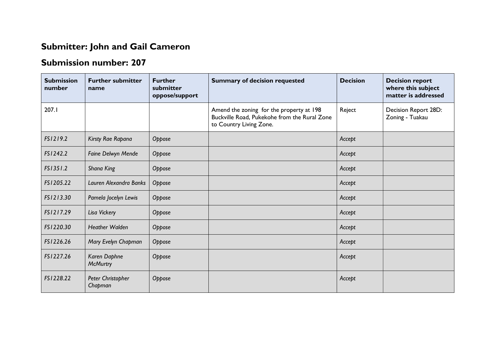## **Submitter: John and Gail Cameron**

## **Submission number: 207**

| <b>Submission</b><br>number | <b>Further submitter</b><br>name | <b>Further</b><br>submitter<br>oppose/support | <b>Summary of decision requested</b>                                                                                | <b>Decision</b> | <b>Decision report</b><br>where this subject<br>matter is addressed |
|-----------------------------|----------------------------------|-----------------------------------------------|---------------------------------------------------------------------------------------------------------------------|-----------------|---------------------------------------------------------------------|
| 207.1                       |                                  |                                               | Amend the zoning for the property at 198<br>Buckville Road, Pukekohe from the Rural Zone<br>to Country Living Zone. | Reject          | Decision Report 28D:<br>Zoning - Tuakau                             |
| FS1219.2                    | Kirsty Rae Rapana                | Oppose                                        |                                                                                                                     | Accept          |                                                                     |
| FS1242.2                    | Faine Delwyn Mende               | Oppose                                        |                                                                                                                     | Accept          |                                                                     |
| FS1351.2                    | Shana King                       | Oppose                                        |                                                                                                                     | Accept          |                                                                     |
| FS1205.22                   | Lauren Alexandra Banks           | Oppose                                        |                                                                                                                     | Accept          |                                                                     |
| FS1213.30                   | Pamela Jocelyn Lewis             | Oppose                                        |                                                                                                                     | Accept          |                                                                     |
| FS1217.29                   | Lisa Vickery                     | Oppose                                        |                                                                                                                     | Accept          |                                                                     |
| FS1220.30                   | <b>Heather Walden</b>            | Oppose                                        |                                                                                                                     | Accept          |                                                                     |
| FS1226.26                   | Mary Evelyn Chapman              | Oppose                                        |                                                                                                                     | Accept          |                                                                     |
| FS1227.26                   | Karen Daphne<br><b>McMurtry</b>  | Oppose                                        |                                                                                                                     | Accept          |                                                                     |
| FS1228.22                   | Peter Christopher<br>Chapman     | Oppose                                        |                                                                                                                     | Accept          |                                                                     |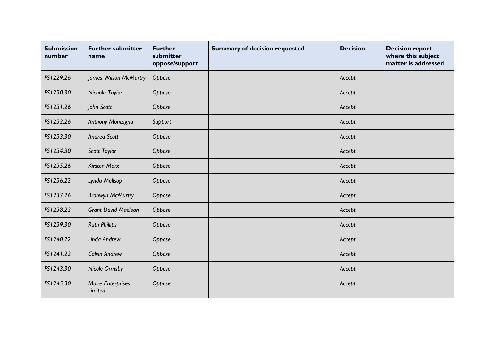| <b>Submission</b><br>number | <b>Further submitter</b><br>name    | <b>Further</b><br>submitter<br>oppose/support | <b>Summary of decision requested</b> | <b>Decision</b> | <b>Decision report</b><br>where this subject<br>matter is addressed |
|-----------------------------|-------------------------------------|-----------------------------------------------|--------------------------------------|-----------------|---------------------------------------------------------------------|
| FS1229.26                   | James Wilson McMurtry               | Oppose                                        |                                      | Accept          |                                                                     |
| FS1230.30                   | Nichola Taylor                      | Oppose                                        |                                      | Accept          |                                                                     |
| FS1231.26                   | John Scott                          | Oppose                                        |                                      | Accept          |                                                                     |
| FS1232.26                   | Anthony Montagna                    | Support                                       |                                      | Accept          |                                                                     |
| FS1233.30                   | Andrea Scott                        | Oppose                                        |                                      | Accept          |                                                                     |
| FS1234.30                   | Scott Taylor                        | Oppose                                        |                                      | Accept          |                                                                     |
| FS1235.26                   | <b>Kirsten Marx</b>                 | Oppose                                        |                                      | Accept          |                                                                     |
| FS1236.22                   | Lynda Mellsop                       | Oppose                                        |                                      | Accept          |                                                                     |
| FS1237.26                   | <b>Bronwyn McMurtry</b>             | Oppose                                        |                                      | Accept          |                                                                     |
| FS1238.22                   | <b>Grant David Maclean</b>          | Oppose                                        |                                      | Accept          |                                                                     |
| FS1239.30                   | <b>Ruth Phillips</b>                | Oppose                                        |                                      | Accept          |                                                                     |
| FS1240.22                   | Linda Andrew                        | Oppose                                        |                                      | Accept          |                                                                     |
| FS1241.22                   | <b>Calvin Andrew</b>                | Oppose                                        |                                      | Accept          |                                                                     |
| FS1243.30                   | Nicole Ormsby                       | Oppose                                        |                                      | Accept          |                                                                     |
| FS1245.30                   | <b>Maire Enterprises</b><br>Limited | Oppose                                        |                                      | Accept          |                                                                     |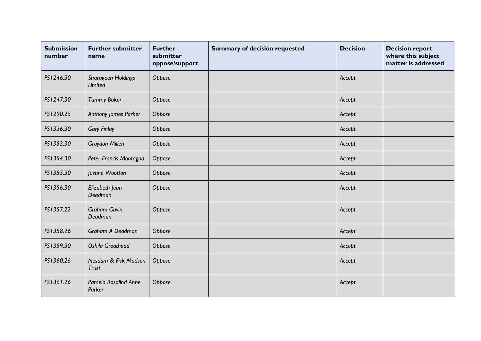| <b>Submission</b><br>number | <b>Further submitter</b><br>name      | <b>Further</b><br>submitter<br>oppose/support | <b>Summary of decision requested</b> | <b>Decision</b> | <b>Decision report</b><br>where this subject<br>matter is addressed |
|-----------------------------|---------------------------------------|-----------------------------------------------|--------------------------------------|-----------------|---------------------------------------------------------------------|
| FS1246.30                   | Sharageen Holdings<br>Limited         | Oppose                                        |                                      | Accept          |                                                                     |
| FS1247.30                   | <b>Tammy Baker</b>                    | Oppose                                        |                                      | Accept          |                                                                     |
| FS1290.25                   | Anthony James Parker                  | Oppose                                        |                                      | Accept          |                                                                     |
| FS1336.30                   | <b>Gary Finlay</b>                    | Oppose                                        |                                      | Accept          |                                                                     |
| FS1352.30                   | <b>Graydon Millen</b>                 | Oppose                                        |                                      | Accept          |                                                                     |
| FS1354.30                   | Peter Francis Montagna                | Oppose                                        |                                      | Accept          |                                                                     |
| FS1355.30                   | Justine Wootton                       | Oppose                                        |                                      | Accept          |                                                                     |
| FS1356.30                   | Elizabeth Jean<br>Deadman             | Oppose                                        |                                      | Accept          |                                                                     |
| FS1357.22                   | <b>Graham Gavin</b><br>Deadman        | Oppose                                        |                                      | Accept          |                                                                     |
| FS1358.26                   | Graham A Deadman                      | Oppose                                        |                                      | Accept          |                                                                     |
| FS1359.30                   | <b>Oshila Greathead</b>               | Oppose                                        |                                      | Accept          |                                                                     |
| FS1360.26                   | Nesdam & Fisk Madsen<br><b>Trust</b>  | Oppose                                        |                                      | Accept          |                                                                     |
| FS1361.26                   | <b>Pamela Rosalind Anne</b><br>Parker | Oppose                                        |                                      | Accept          |                                                                     |